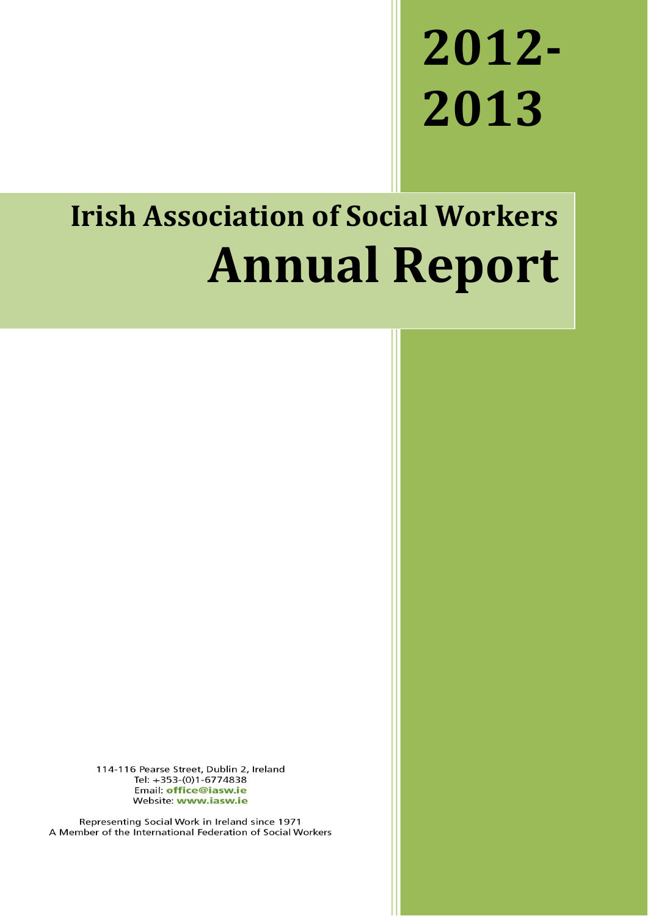# **2012- 2013**

## **Irish Association of Social Workers Annual Report**

114-116 Pearse Street, Dublin 2, Ireland Tel: +353-(0)1-6774838 Email: office@iasw.ie Website: www.iasw.ie

Representing Social Work in Ireland since 1971 A Member of the International Federation of Social Workers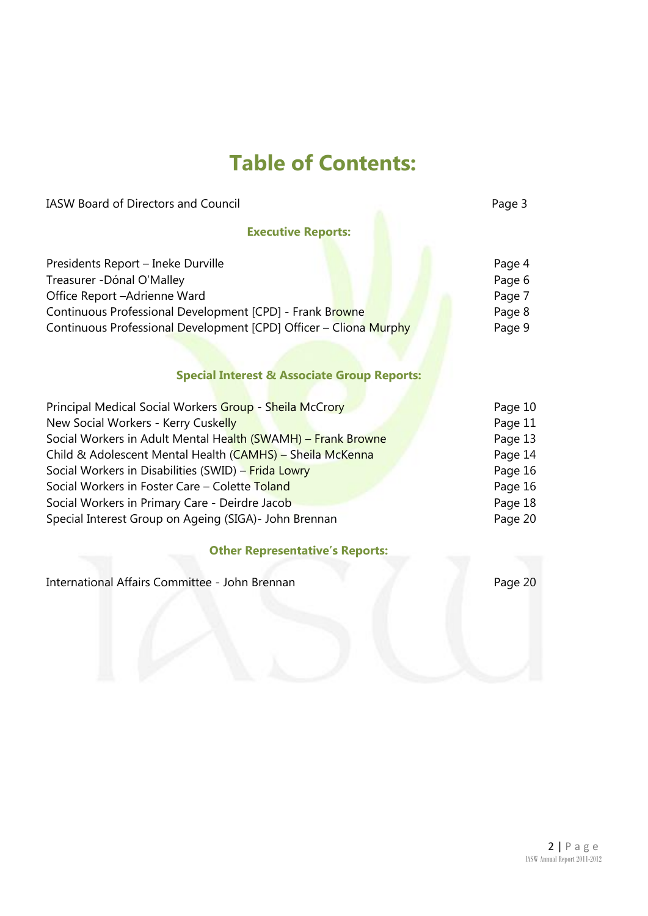## **Table of Contents:**

IASW Board of Directors and Council **Page 3** Page 3

**Executive Reports:**

| Presidents Report - Ineke Durville                                | Page 4  |
|-------------------------------------------------------------------|---------|
| Treasurer - Dónal O'Malley                                        | Page 6  |
| Office Report - Adrienne Ward                                     | Page 7  |
| Continuous Professional Development [CPD] - Frank Browne          | Page 8  |
| Continuous Professional Development [CPD] Officer - Cliona Murphy | Page 9  |
| <b>Special Interest &amp; Associate Group Reports:</b>            |         |
| Principal Medical Social Workers Group - Sheila McCrory           | Page 10 |
| New Social Workers - Kerry Cuskelly                               | Page 11 |
| Social Workers in Adult Mental Health (SWAMH) - Frank Browne      | Page 13 |
| Child & Adolescent Mental Health (CAMHS) - Sheila McKenna         | Page 14 |
| Social Workers in Disabilities (SWID) - Frida Lowry               | Page 16 |
| Social Workers in Foster Care - Colette Toland                    | Page 16 |
| Social Workers in Primary Care - Deirdre Jacob                    | Page 18 |
| Special Interest Group on Ageing (SIGA)- John Brennan             | Page 20 |

#### **Other Representative's Reports:**

International Affairs Committee - John Brennan Page 20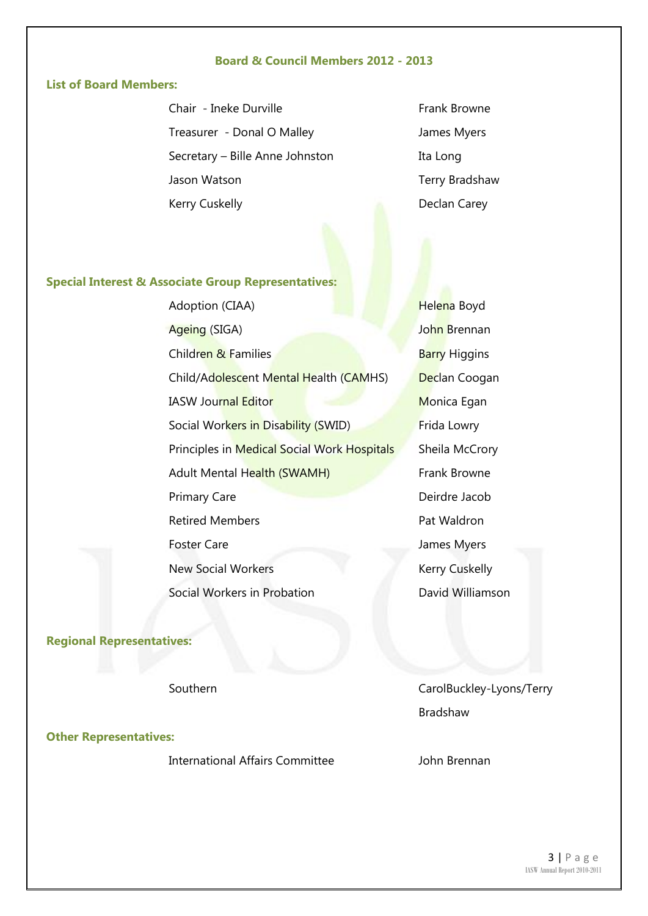#### **Board & Council Members 2012 - 2013**

#### **List of Board Members:**

Chair - Ineke Durville Treasurer - Donal O Malley Secretary – Bille Anne Johnston Jason Watson Kerry Cuskelly

Frank Browne James Myers Ita Long Terry Bradshaw Declan Carey

#### **Special Interest & Associate Group Representatives:**

Adoption (CIAA) Ageing (SIGA) **Children & Families Barry Higgins** Child/Adolescent Mental Health (CAMHS) Declan Coogan **IASW Journal Editor** Monica Egan Social Workers in Disability (SWID) Frida Lowry Principles in Medical Social Work Hospitals Sheila McCrory Adult Mental Health (SWAMH) Frank Browne Primary Care **Deirdre Jacob** Retired Members **Pat Waldron** Foster Care **International Care** James Myers New Social Workers **Kerry Cuskelly** Social Workers in Probation **David Williamson** 

Helena Boyd John Brennan

**Regional Representatives:**

**Other Representatives:**

International Affairs Committee John Brennan

Southern CarolBuckley-Lyons/Terry Bradshaw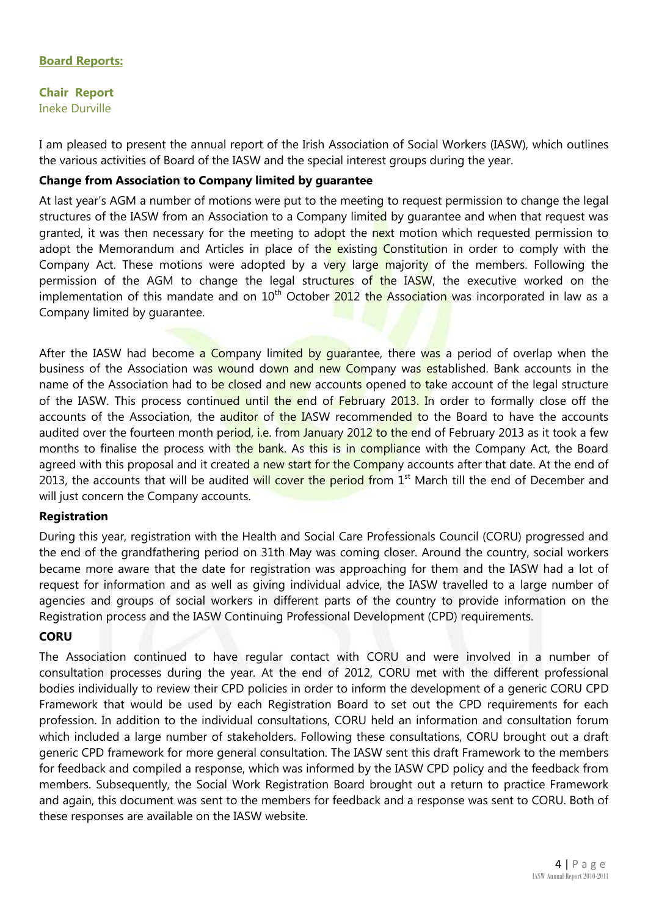#### **Board Reports:**

**Chair Report** Ineke Durville

I am pleased to present the annual report of the Irish Association of Social Workers (IASW), which outlines the various activities of Board of the IASW and the special interest groups during the year.

#### **Change from Association to Company limited by guarantee**

At last year's AGM a number of motions were put to the meeting to request permission to change the legal structures of the IASW from an Association to a Company limited by quarantee and when that request was granted, it was then necessary for the meeting to adopt the next motion which requested permission to adopt the Memorandum and Articles in place of the existing Constitution in order to comply with the Company Act. These motions were adopted by a very large majority of the members. Following the permission of the AGM to change the legal structures of the IASW, the executive worked on the implementation of this mandate and on  $10^{th}$  October 2012 the Association was incorporated in law as a Company limited by guarantee.

After the IASW had become a Company limited by quarantee, there was a period of overlap when the business of the Association was wound down and new Company was established. Bank accounts in the name of the Association had to be closed and new accounts opened to take account of the legal structure of the IASW. This process continued until the end of February 2013. In order to formally close off the accounts of the Association, the auditor of the IASW recommended to the Board to have the accounts audited over the fourteen month period, i.e. from January 2012 to the end of February 2013 as it took a few months to finalise the process with the bank. As this is in compliance with the Company Act, the Board agreed with this proposal and it created a new start for the Company accounts after that date. At the end of 2013, the accounts that will be audited will cover the period from 1<sup>st</sup> March till the end of December and will just concern the Company accounts.

#### **Registration**

During this year, registration with the Health and Social Care Professionals Council (CORU) progressed and the end of the grandfathering period on 31th May was coming closer. Around the country, social workers became more aware that the date for registration was approaching for them and the IASW had a lot of request for information and as well as giving individual advice, the IASW travelled to a large number of agencies and groups of social workers in different parts of the country to provide information on the Registration process and the IASW Continuing Professional Development (CPD) requirements.

#### **CORU**

The Association continued to have regular contact with CORU and were involved in a number of consultation processes during the year. At the end of 2012, CORU met with the different professional bodies individually to review their CPD policies in order to inform the development of a generic CORU CPD Framework that would be used by each Registration Board to set out the CPD requirements for each profession. In addition to the individual consultations, CORU held an information and consultation forum which included a large number of stakeholders. Following these consultations, CORU brought out a draft generic CPD framework for more general consultation. The IASW sent this draft Framework to the members for feedback and compiled a response, which was informed by the IASW CPD policy and the feedback from members. Subsequently, the Social Work Registration Board brought out a return to practice Framework and again, this document was sent to the members for feedback and a response was sent to CORU. Both of these responses are available on the IASW website.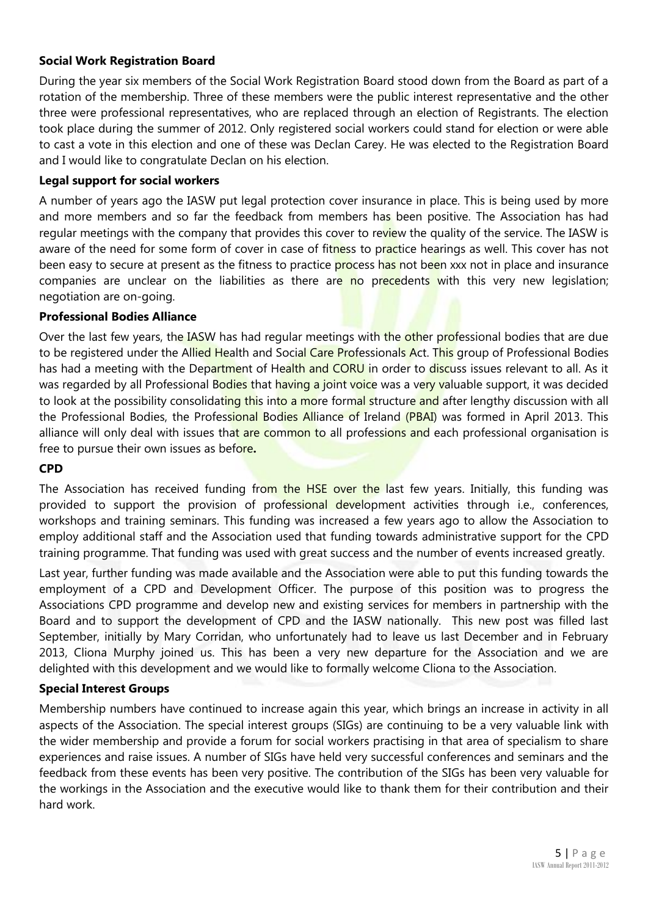#### **Social Work Registration Board**

During the year six members of the Social Work Registration Board stood down from the Board as part of a rotation of the membership. Three of these members were the public interest representative and the other three were professional representatives, who are replaced through an election of Registrants. The election took place during the summer of 2012. Only registered social workers could stand for election or were able to cast a vote in this election and one of these was Declan Carey. He was elected to the Registration Board and I would like to congratulate Declan on his election.

#### **Legal support for social workers**

A number of years ago the IASW put legal protection cover insurance in place. This is being used by more and more members and so far the feedback from members has been positive. The Association has had regular meetings with the company that provides this cover to review the quality of the service. The IASW is aware of the need for some form of cover in case of fitness to practice hearings as well. This cover has not been easy to secure at present as the fitness to practice **process has not been xxx not in place and insurance** companies are unclear on the liabilities as there are no precedents with this very new legislation; negotiation are on-going.

#### **Professional Bodies Alliance**

Over the last few years, the IASW has had regular meetings with the other professional bodies that are due to be registered under the Allied Health and Social Care Professionals Act. This group of Professional Bodies has had a meeting with the Department of Health and CORU in order to discuss issues relevant to all. As it was regarded by all Professional Bodies that having a joint voice was a very valuable support, it was decided to look at the possibility consolidating this into a more formal structure and after lengthy discussion with all the Professional Bodies, the Professional Bodies Alliance of Ireland (PBAI) was formed in April 2013. This alliance will only deal with issues that are common to all professions and each professional organisation is free to pursue their own issues as before**.** 

#### **CPD**

The Association has received funding from the HSE over the last few years. Initially, this funding was provided to support the provision of professional development activities through i.e., conferences, workshops and training seminars. This funding was increased a few years ago to allow the Association to employ additional staff and the Association used that funding towards administrative support for the CPD training programme. That funding was used with great success and the number of events increased greatly.

Last year, further funding was made available and the Association were able to put this funding towards the employment of a CPD and Development Officer. The purpose of this position was to progress the Associations CPD programme and develop new and existing services for members in partnership with the Board and to support the development of CPD and the IASW nationally. This new post was filled last September, initially by Mary Corridan, who unfortunately had to leave us last December and in February 2013, Cliona Murphy joined us. This has been a very new departure for the Association and we are delighted with this development and we would like to formally welcome Cliona to the Association.

#### **Special Interest Groups**

Membership numbers have continued to increase again this year, which brings an increase in activity in all aspects of the Association. The special interest groups (SIGs) are continuing to be a very valuable link with the wider membership and provide a forum for social workers practising in that area of specialism to share experiences and raise issues. A number of SIGs have held very successful conferences and seminars and the feedback from these events has been very positive. The contribution of the SIGs has been very valuable for the workings in the Association and the executive would like to thank them for their contribution and their hard work.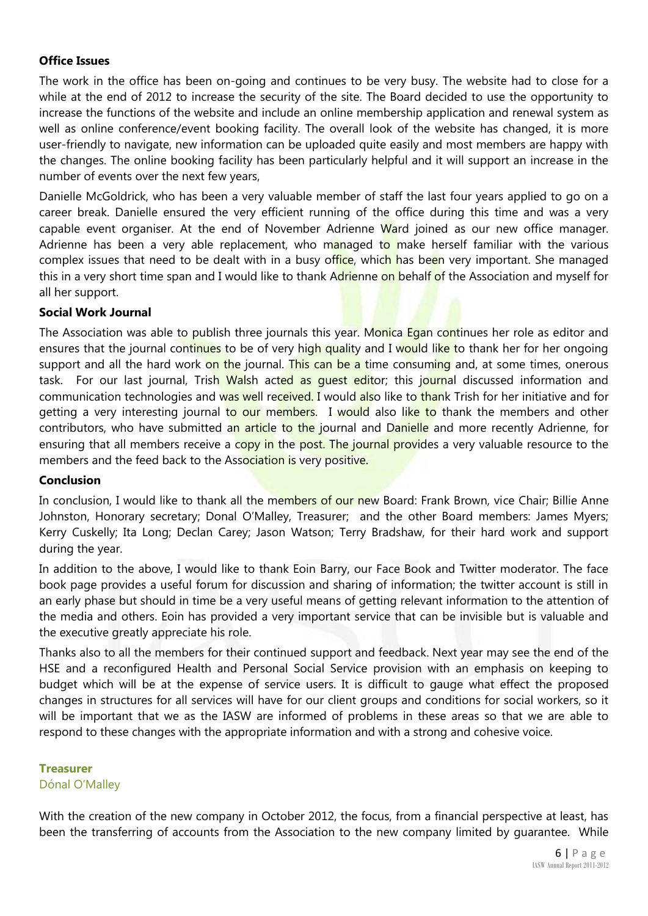#### **Office Issues**

The work in the office has been on-going and continues to be very busy. The website had to close for a while at the end of 2012 to increase the security of the site. The Board decided to use the opportunity to increase the functions of the website and include an online membership application and renewal system as well as online conference/event booking facility. The overall look of the website has changed, it is more user-friendly to navigate, new information can be uploaded quite easily and most members are happy with the changes. The online booking facility has been particularly helpful and it will support an increase in the number of events over the next few years,

Danielle McGoldrick, who has been a very valuable member of staff the last four years applied to go on a career break. Danielle ensured the very efficient running of the office during this time and was a very capable event organiser. At the end of November Adrienne Ward joined as our new office manager. Adrienne has been a very able replacement, who managed to make herself familiar with the various complex issues that need to be dealt with in a busy office, which has been very important. She managed this in a very short time span and I would like to thank Adrienne on behalf of the Association and myself for all her support.

#### **Social Work Journal**

The Association was able to publish three journals this year. Monica Egan continues her role as editor and ensures that the journal continues to be of very high quality and I would like to thank her for her ongoing support and all the hard work on the journal. This can be a time consuming and, at some times, onerous task. For our last journal, Trish Walsh acted as quest editor; this journal discussed information and communication technologies and was well received. I would also like to thank Trish for her initiative and for getting a very interesting journal to our members. I would also like to thank the members and other contributors, who have submitted an article to the journal and Danielle and more recently Adrienne, for ensuring that all members receive a copy in the post. The journal provides a very valuable resource to the members and the feed back to the Association is very positive.

#### **Conclusion**

In conclusion, I would like to thank all the members of our new Board: Frank Brown, vice Chair; Billie Anne Johnston, Honorary secretary; Donal O'Malley, Treasurer; and the other Board members: James Myers; Kerry Cuskelly; Ita Long; Declan Carey; Jason Watson; Terry Bradshaw, for their hard work and support during the year.

In addition to the above, I would like to thank Eoin Barry, our Face Book and Twitter moderator. The face book page provides a useful forum for discussion and sharing of information; the twitter account is still in an early phase but should in time be a very useful means of getting relevant information to the attention of the media and others. Eoin has provided a very important service that can be invisible but is valuable and the executive greatly appreciate his role.

Thanks also to all the members for their continued support and feedback. Next year may see the end of the HSE and a reconfigured Health and Personal Social Service provision with an emphasis on keeping to budget which will be at the expense of service users. It is difficult to gauge what effect the proposed changes in structures for all services will have for our client groups and conditions for social workers, so it will be important that we as the IASW are informed of problems in these areas so that we are able to respond to these changes with the appropriate information and with a strong and cohesive voice.

#### **Treasurer** Dónal O'Malley

With the creation of the new company in October 2012, the focus, from a financial perspective at least, has been the transferring of accounts from the Association to the new company limited by guarantee. While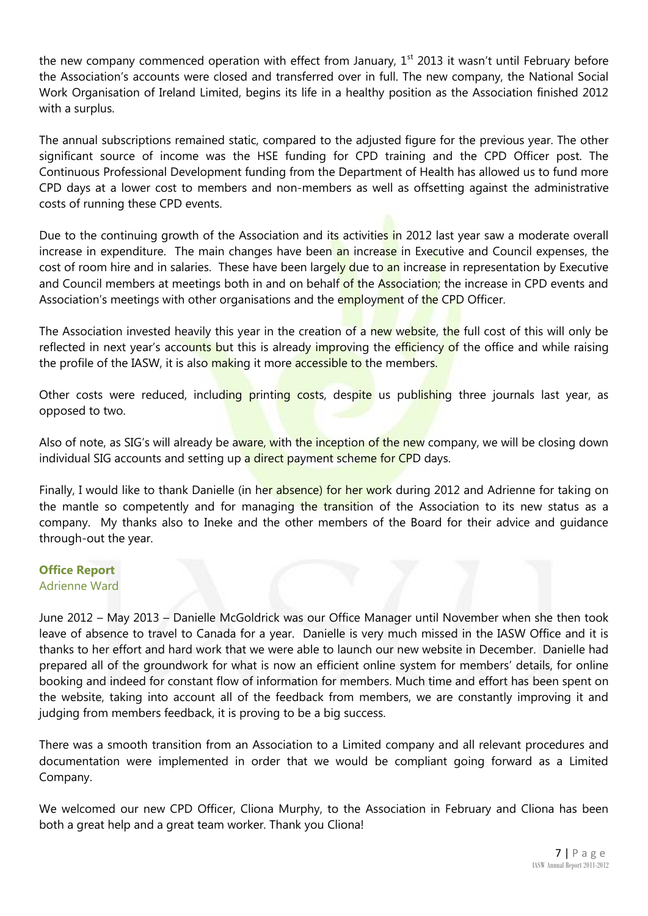the new company commenced operation with effect from January,  $1<sup>st</sup>$  2013 it wasn't until February before the Association's accounts were closed and transferred over in full. The new company, the National Social Work Organisation of Ireland Limited, begins its life in a healthy position as the Association finished 2012 with a surplus.

The annual subscriptions remained static, compared to the adjusted figure for the previous year. The other significant source of income was the HSE funding for CPD training and the CPD Officer post. The Continuous Professional Development funding from the Department of Health has allowed us to fund more CPD days at a lower cost to members and non-members as well as offsetting against the administrative costs of running these CPD events.

Due to the continuing growth of the Association and its activities in 2012 last year saw a moderate overall increase in expenditure. The main changes have been an increase in Executive and Council expenses, the cost of room hire and in salaries. These have been largely due to an increase in representation by Executive and Council members at meetings both in and on behalf of the Association; the increase in CPD events and Association's meetings with other organisations and the employment of the CPD Officer.

The Association invested heavily this year in the creation of a new website, the full cost of this will only be reflected in next year's accounts but this is already improving the efficiency of the office and while raising the profile of the IASW, it is also making it more accessible to the members.

Other costs were reduced, including printing costs, despite us publishing three journals last year, as opposed to two.

Also of note, as SIG's will already be aware, with the inception of the new company, we will be closing down individual SIG accounts and setting up a direct payment scheme for CPD days.

Finally, I would like to thank Danielle (in her absence) for her work during 2012 and Adrienne for taking on the mantle so competently and for managing the transition of the Association to its new status as a company. My thanks also to Ineke and the other members of the Board for their advice and guidance through-out the year.

#### **Office Report** Adrienne Ward

June 2012 – May 2013 – Danielle McGoldrick was our Office Manager until November when she then took leave of absence to travel to Canada for a year. Danielle is very much missed in the IASW Office and it is thanks to her effort and hard work that we were able to launch our new website in December. Danielle had prepared all of the groundwork for what is now an efficient online system for members' details, for online booking and indeed for constant flow of information for members. Much time and effort has been spent on the website, taking into account all of the feedback from members, we are constantly improving it and judging from members feedback, it is proving to be a big success.

There was a smooth transition from an Association to a Limited company and all relevant procedures and documentation were implemented in order that we would be compliant going forward as a Limited Company.

We welcomed our new CPD Officer, Cliona Murphy, to the Association in February and Cliona has been both a great help and a great team worker. Thank you Cliona!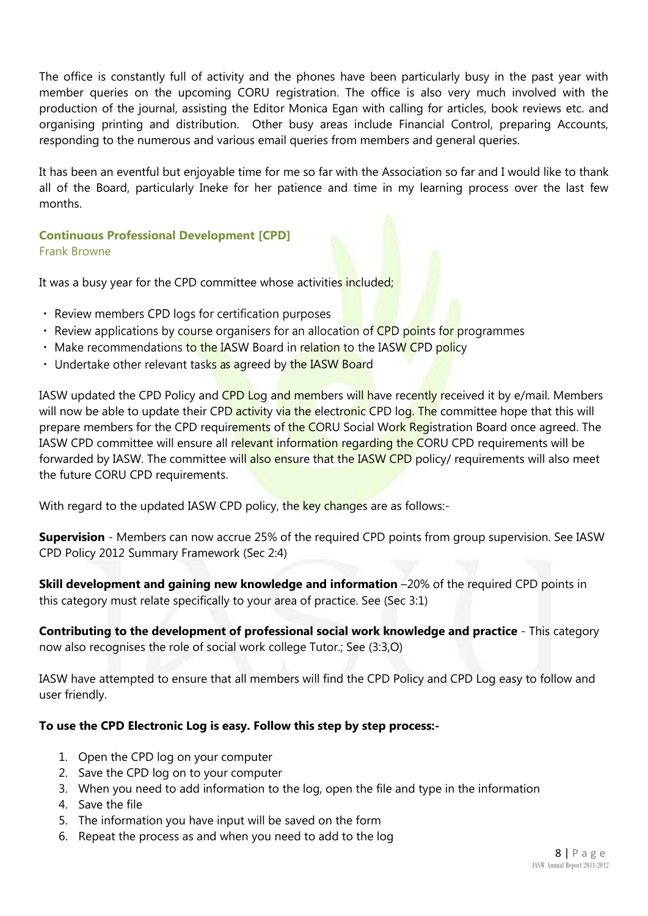The office is constantly full of activity and the phones have been particularly busy in the past year with member queries on the upcoming CORU registration. The office is also very much involved with the production of the journal, assisting the Editor Monica Egan with calling for articles, book reviews etc. and organising printing and distribution. Other busy areas include Financial Control, preparing Accounts, responding to the numerous and various email queries from members and general queries.

It has been an eventful but enjoyable time for me so far with the Association so far and I would like to thank all of the Board, particularly Ineke for her patience and time in my learning process over the last few months.

**Continuous Professional Development [CPD]** Frank Browne

It was a busy year for the CPD committee whose activities included;

- Review members CPD logs for certification purposes
- Review applications by course organisers for an allocation of CPD points for programmes
- Make recommendations to the IASW Board in relation to the IASW CPD policy
- Undertake other relevant tasks as agreed by the IASW Board

IASW updated the CPD Policy and CPD Log and members will have recently received it by e/mail. Members will now be able to update their CPD activity via the electronic CPD log. The committee hope that this will prepare members for the CPD requirements of the CORU Social Work Registration Board once agreed. The IASW CPD committee will ensure all relevant information regarding the CORU CPD requirements will be forwarded by IASW. The committee will also ensure that the IASW CPD policy/ requirements will also meet the future CORU CPD requirements.

With regard to the updated IASW CPD policy, the key changes are as follows:-

**Supervision** - Members can now accrue 25% of the required CPD points from group supervision. See IASW CPD Policy 2012 Summary Framework (Sec 2:4)

**Skill development and gaining new knowledge and information** –20% of the required CPD points in this category must relate specifically to your area of practice. See (Sec 3:1)

**Contributing to the development of professional social work knowledge and practice** - This category now also recognises the role of social work college Tutor.; See (3:3,O)

IASW have attempted to ensure that all members will find the CPD Policy and CPD Log easy to follow and user friendly.

#### **To use the CPD Electronic Log is easy. Follow this step by step process:-**

- 1. Open the CPD log on your computer
- 2. Save the CPD log on to your computer
- 3. When you need to add information to the log, open the file and type in the information
- 4. Save the file
- 5. The information you have input will be saved on the form
- 6. Repeat the process as and when you need to add to the log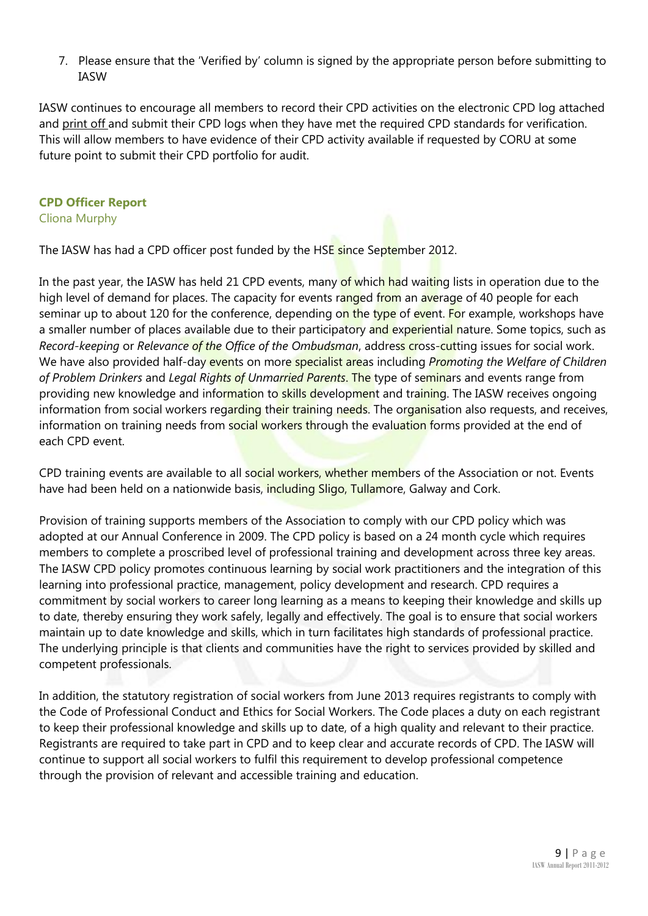7. Please ensure that the 'Verified by' column is signed by the appropriate person before submitting to IASW

IASW continues to encourage all members to record their CPD activities on the electronic CPD log attached and print off and submit their CPD logs when they have met the required CPD standards for verification. This will allow members to have evidence of their CPD activity available if requested by CORU at some future point to submit their CPD portfolio for audit.

#### **CPD Officer Report**

Cliona Murphy

The IASW has had a CPD officer post funded by the HSE since September 2012.

In the past year, the IASW has held 21 CPD events, many of which had waiting lists in operation due to the high level of demand for places. The capacity for events ranged from an average of 40 people for each seminar up to about 120 for the conference, depending on the type of event. For example, workshops have a smaller number of places available due to their participatory and experiential nature. Some topics, such as *Record-keeping* or *Relevance of the Office of the Ombudsman*, address cross-cutting issues for social work. We have also provided half-day events on more specialist areas including *Promoting the Welfare of Children of Problem Drinkers* and *Legal Rights of Unmarried Parents*. The type of seminars and events range from providing new knowledge and information to skills development and training. The IASW receives ongoing information from social workers regarding their training needs. The organisation also requests, and receives, information on training needs from social workers through the evaluation forms provided at the end of each CPD event.

CPD training events are available to all social workers, whether members of the Association or not. Events have had been held on a nationwide basis, including Sligo, Tullamore, Galway and Cork.

Provision of training supports members of the Association to comply with our CPD policy which was adopted at our Annual Conference in 2009. The CPD policy is based on a 24 month cycle which requires members to complete a proscribed level of professional training and development across three key areas. The IASW CPD policy promotes continuous learning by social work practitioners and the integration of this learning into professional practice, management, policy development and research. CPD requires a commitment by social workers to career long learning as a means to keeping their knowledge and skills up to date, thereby ensuring they work safely, legally and effectively. The goal is to ensure that social workers maintain up to date knowledge and skills, which in turn facilitates high standards of professional practice. The underlying principle is that clients and communities have the right to services provided by skilled and competent professionals.

In addition, the statutory registration of social workers from June 2013 requires registrants to comply with the Code of Professional Conduct and Ethics for Social Workers. The Code places a duty on each registrant to keep their professional knowledge and skills up to date, of a high quality and relevant to their practice. Registrants are required to take part in CPD and to keep clear and accurate records of CPD. The IASW will continue to support all social workers to fulfil this requirement to develop professional competence through the provision of relevant and accessible training and education.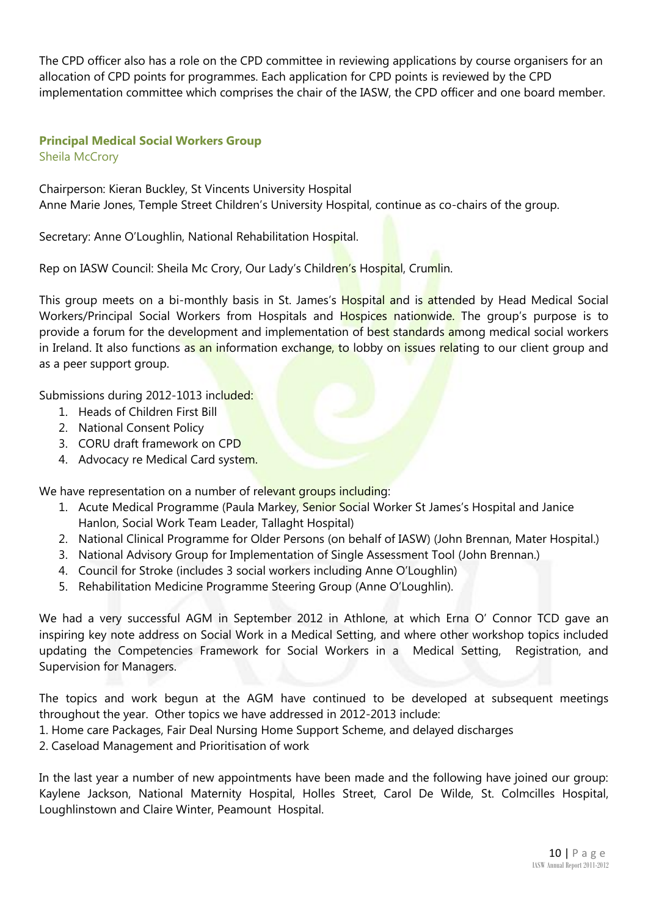The CPD officer also has a role on the CPD committee in reviewing applications by course organisers for an allocation of CPD points for programmes. Each application for CPD points is reviewed by the CPD implementation committee which comprises the chair of the IASW, the CPD officer and one board member.

### **Principal Medical Social Workers Group**

Sheila McCrory

Chairperson: Kieran Buckley, St Vincents University Hospital Anne Marie Jones, Temple Street Children's University Hospital, continue as co-chairs of the group.

Secretary: Anne O'Loughlin, National Rehabilitation Hospital.

Rep on IASW Council: Sheila Mc Crory, Our Lady's Children's Hospital, Crumlin.

This group meets on a bi-monthly basis in St. James's Hospital and is attended by Head Medical Social Workers/Principal Social Workers from Hospitals and Hospices nationwide. The group's purpose is to provide a forum for the development and implementation of best standards among medical social workers in Ireland. It also functions as an information exchange, to lobby on issues relating to our client group and as a peer support group.

Submissions during 2012-1013 included:

- 1. Heads of Children First Bill
- 2. National Consent Policy
- 3. CORU draft framework on CPD
- 4. Advocacy re Medical Card system.

We have representation on a number of relevant groups including:

- 1. Acute Medical Programme (Paula Markey, Senior Social Worker St James's Hospital and Janice Hanlon, Social Work Team Leader, Tallaght Hospital)
- 2. National Clinical Programme for Older Persons (on behalf of IASW) (John Brennan, Mater Hospital.)
- 3. National Advisory Group for Implementation of Single Assessment Tool (John Brennan.)
- 4. Council for Stroke (includes 3 social workers including Anne O'Loughlin)
- 5. Rehabilitation Medicine Programme Steering Group (Anne O'Loughlin).

We had a very successful AGM in September 2012 in Athlone, at which Erna O' Connor TCD gave an inspiring key note address on Social Work in a Medical Setting, and where other workshop topics included updating the Competencies Framework for Social Workers in a Medical Setting, Registration, and Supervision for Managers.

The topics and work begun at the AGM have continued to be developed at subsequent meetings throughout the year. Other topics we have addressed in 2012-2013 include:

1. Home care Packages, Fair Deal Nursing Home Support Scheme, and delayed discharges

2. Caseload Management and Prioritisation of work

In the last year a number of new appointments have been made and the following have joined our group: Kaylene Jackson, National Maternity Hospital, Holles Street, Carol De Wilde, St. Colmcilles Hospital, Loughlinstown and Claire Winter, Peamount Hospital.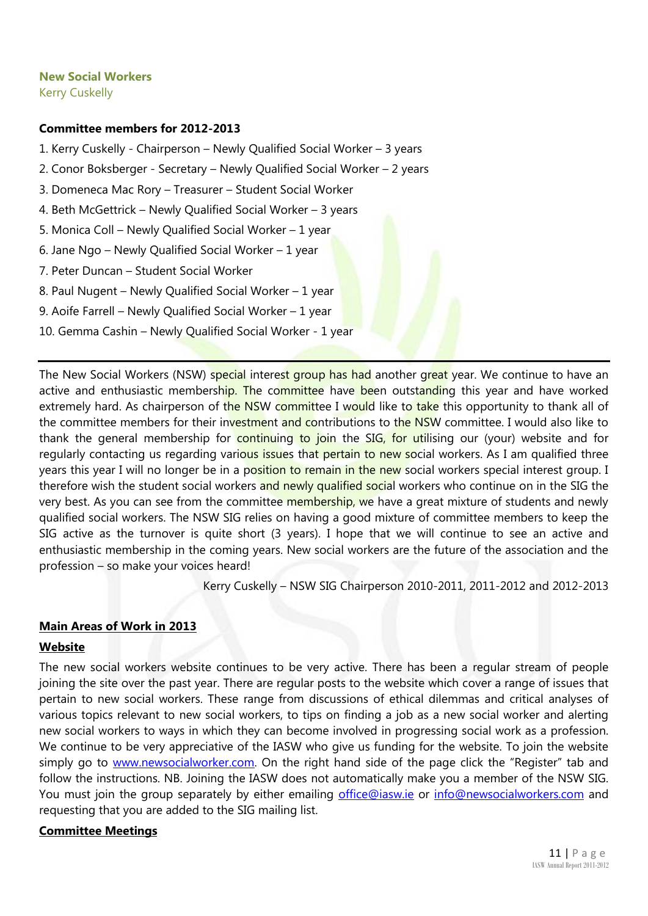#### **New Social Workers**

Kerry Cuskelly

#### **Committee members for 2012-2013**

- 1. Kerry Cuskelly Chairperson Newly Qualified Social Worker 3 years
- 2. Conor Boksberger Secretary Newly Qualified Social Worker 2 years
- 3. Domeneca Mac Rory Treasurer Student Social Worker
- 4. Beth McGettrick Newly Qualified Social Worker 3 years
- 5. Monica Coll Newly Qualified Social Worker 1 year
- 6. Jane Ngo Newly Qualified Social Worker 1 year
- 7. Peter Duncan Student Social Worker
- 8. Paul Nugent Newly Qualified Social Worker 1 year
- 9. Aoife Farrell Newly Qualified Social Worker 1 year
- 10. Gemma Cashin Newly Qualified Social Worker 1 year

The New Social Workers (NSW) special interest group has had another great year. We continue to have an active and enthusiastic membership. The committee have been outstanding this year and have worked extremely hard. As chairperson of the NSW committee I would like to take this opportunity to thank all of the committee members for their investment and contributions to the NSW committee. I would also like to thank the general membership for continuing to join the SIG, for utilising our (your) website and for regularly contacting us regarding various issues that pertain to new social workers. As I am qualified three years this year I will no longer be in a position to remain in the new social workers special interest group. I therefore wish the student social workers and newly qualified social workers who continue on in the SIG the very best. As you can see from the committee membership, we have a great mixture of students and newly qualified social workers. The NSW SIG relies on having a good mixture of committee members to keep the SIG active as the turnover is quite short (3 years). I hope that we will continue to see an active and enthusiastic membership in the coming years. New social workers are the future of the association and the profession – so make your voices heard!

Kerry Cuskelly – NSW SIG Chairperson 2010-2011, 2011-2012 and 2012-2013

#### **Main Areas of Work in 2013**

#### **Website**

The new social workers website continues to be very active. There has been a regular stream of people joining the site over the past year. There are regular posts to the website which cover a range of issues that pertain to new social workers. These range from discussions of ethical dilemmas and critical analyses of various topics relevant to new social workers, to tips on finding a job as a new social worker and alerting new social workers to ways in which they can become involved in progressing social work as a profession. We continue to be very appreciative of the IASW who give us funding for the website. To join the website simply go to [www.newsocialworker.com](http://www.newsocialworker.com/). On the right hand side of the page click the "Register" tab and follow the instructions. NB. Joining the IASW does not automatically make you a member of the NSW SIG. You must join the group separately by either emailing [office@iasw.ie](mailto:office@iasw.ie) or [info@newsocialworkers.com](mailto:info@newsocialworkers.com) and requesting that you are added to the SIG mailing list.

#### **Committee Meetings**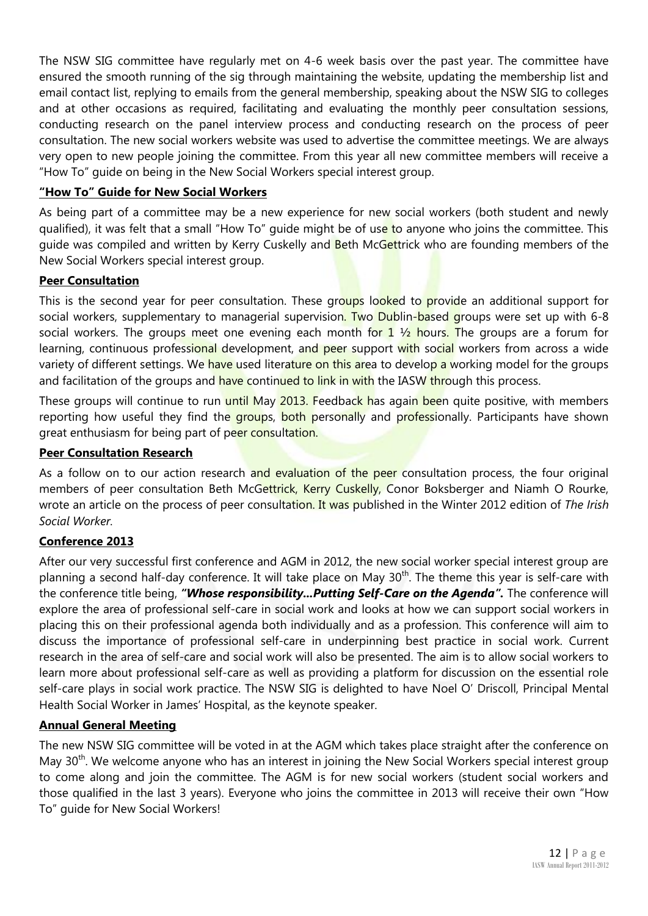The NSW SIG committee have regularly met on 4-6 week basis over the past year. The committee have ensured the smooth running of the sig through maintaining the website, updating the membership list and email contact list, replying to emails from the general membership, speaking about the NSW SIG to colleges and at other occasions as required, facilitating and evaluating the monthly peer consultation sessions, conducting research on the panel interview process and conducting research on the process of peer consultation. The new social workers website was used to advertise the committee meetings. We are always very open to new people joining the committee. From this year all new committee members will receive a "How To" guide on being in the New Social Workers special interest group.

#### **"How To" Guide for New Social Workers**

As being part of a committee may be a new experience for new social workers (both student and newly qualified), it was felt that a small "How To" guide might be of use to anyone who joins the committee. This guide was compiled and written by Kerry Cuskelly and Beth McGettrick who are founding members of the New Social Workers special interest group.

#### **Peer Consultation**

This is the second year for peer consultation. These groups looked to provide an additional support for social workers, supplementary to managerial supervision. Two Dublin-based groups were set up with 6-8 social workers. The groups meet one evening each month for 1  $\frac{1}{2}$  hours. The groups are a forum for learning, continuous professional development, and peer support with social workers from across a wide variety of different settings. We have used literature on this area to develop a working model for the groups and facilitation of the groups and have continued to link in with the IASW through this process.

These groups will continue to run until May 2013. Feedback has again been quite positive, with members reporting how useful they find the groups, both personally and professionally. Participants have shown great enthusiasm for being part of peer consultation.

#### **Peer Consultation Research**

As a follow on to our action research and evaluation of the peer consultation process, the four original members of peer consultation Beth McGettrick, Kerry Cuskelly, Conor Boksberger and Niamh O Rourke, wrote an article on the process of peer consultation. It was published in the Winter 2012 edition of *The Irish Social Worker.* 

#### **Conference 2013**

After our very successful first conference and AGM in 2012, the new social worker special interest group are planning a second half-day conference. It will take place on May 30<sup>th</sup>. The theme this year is self-care with the conference title being, *"Whose responsibility...Putting Self-Care on the Agenda".* The conference will explore the area of professional self-care in social work and looks at how we can support social workers in placing this on their professional agenda both individually and as a profession. This conference will aim to discuss the importance of professional self-care in underpinning best practice in social work. Current research in the area of self-care and social work will also be presented. The aim is to allow social workers to learn more about professional self-care as well as providing a platform for discussion on the essential role self-care plays in social work practice. The NSW SIG is delighted to have Noel O' Driscoll, Principal Mental Health Social Worker in James' Hospital, as the keynote speaker.

#### **Annual General Meeting**

The new NSW SIG committee will be voted in at the AGM which takes place straight after the conference on May 30<sup>th</sup>. We welcome anyone who has an interest in joining the New Social Workers special interest group to come along and join the committee. The AGM is for new social workers (student social workers and those qualified in the last 3 years). Everyone who joins the committee in 2013 will receive their own "How To" guide for New Social Workers!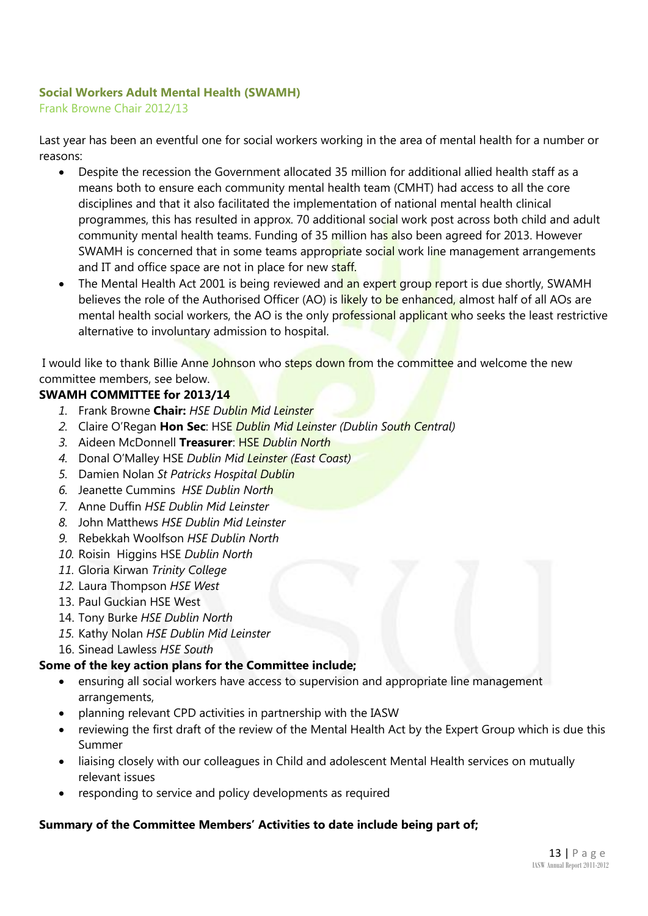#### **Social Workers Adult Mental Health (SWAMH)**

Frank Browne Chair 2012/13

Last year has been an eventful one for social workers working in the area of mental health for a number or reasons:

- Despite the recession the Government allocated 35 million for additional allied health staff as a means both to ensure each community mental health team (CMHT) had access to all the core disciplines and that it also facilitated the implementation of national mental health clinical programmes, this has resulted in approx. 70 additional social work post across both child and adult community mental health teams. Funding of 35 million has also been agreed for 2013. However SWAMH is concerned that in some teams appropriate social work line management arrangements and IT and office space are not in place for new staff.
- The Mental Health Act 2001 is being reviewed and an expert group report is due shortly, SWAMH believes the role of the Authorised Officer (AO) is likely to be enhanced, almost half of all AOs are mental health social workers, the AO is the only professional applicant who seeks the least restrictive alternative to involuntary admission to hospital.

I would like to thank Billie Anne Johnson who steps down from the committee and welcome the new committee members, see below.

#### **SWAMH COMMITTEE for 2013/14**

- *1.* Frank Browne **Chair:** *HSE Dublin Mid Leinster*
- *2.* Claire O'Regan **Hon Sec**: HSE *Dublin Mid Leinster (Dublin South Central)*
- *3.* Aideen McDonnell **Treasurer**: HSE *Dublin North*
- *4.* Donal O'Malley HSE *Dublin Mid Leinster (East Coast)*
- *5.* Damien Nolan *St Patricks Hospital Dublin*
- *6.* Jeanette Cummins *HSE Dublin North*
- *7.* Anne Duffin *HSE Dublin Mid Leinster*
- *8.* John Matthews *HSE Dublin Mid Leinster*
- *9.* Rebekkah Woolfson *HSE Dublin North*
- *10.* Roisin Higgins HSE *Dublin North*
- *11.* Gloria Kirwan *Trinity College*
- *12.* Laura Thompson *HSE West*
- 13. Paul Guckian HSE West
- 14. Tony Burke *HSE Dublin North*
- *15.* Kathy Nolan *HSE Dublin Mid Leinster*
- 16. Sinead Lawless *HSE South*

#### **Some of the key action plans for the Committee include;**

- ensuring all social workers have access to supervision and appropriate line management arrangements,
- planning relevant CPD activities in partnership with the IASW
- reviewing the first draft of the review of the Mental Health Act by the Expert Group which is due this Summer
- liaising closely with our colleagues in Child and adolescent Mental Health services on mutually relevant issues
- responding to service and policy developments as required

#### **Summary of the Committee Members' Activities to date include being part of;**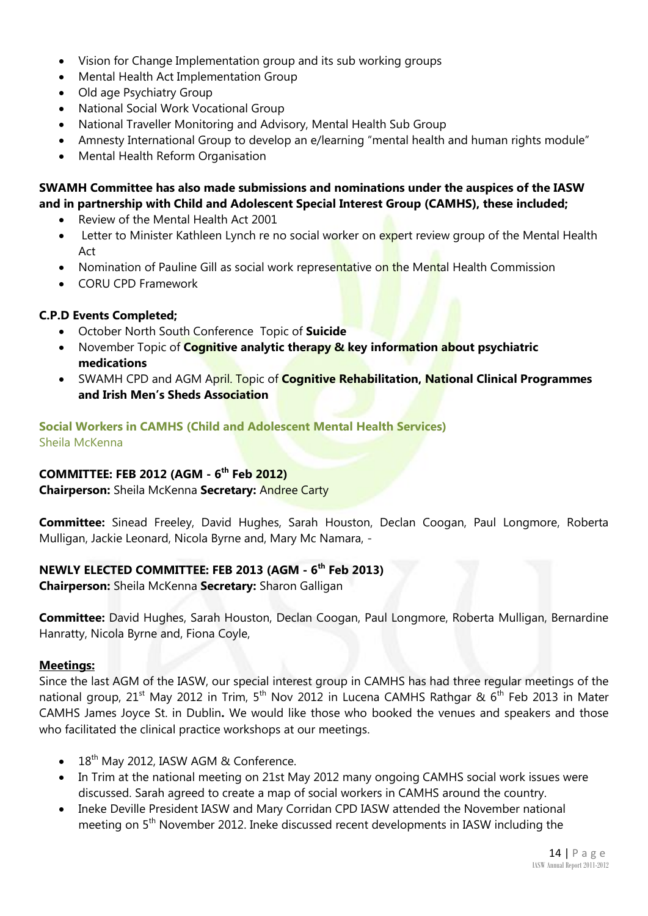- Vision for Change Implementation group and its sub working groups
- Mental Health Act Implementation Group
- Old age Psychiatry Group
- National Social Work Vocational Group
- National Traveller Monitoring and Advisory, Mental Health Sub Group
- Amnesty International Group to develop an e/learning "mental health and human rights module"
- Mental Health Reform Organisation

#### **SWAMH Committee has also made submissions and nominations under the auspices of the IASW and in partnership with Child and Adolescent Special Interest Group (CAMHS), these included;**

- Review of the Mental Health Act 2001
- Letter to Minister Kathleen Lynch re no social worker on expert review group of the Mental Health Act
- Nomination of Pauline Gill as social work representative on the Mental Health Commission
- CORU CPD Framework

#### **C.P.D Events Completed;**

- October North South Conference Topic of **Suicide**
- **•** November Topic of **Cognitive analytic therapy & key information about psychiatric medications**
- SWAMH CPD and AGM April. Topic of **Cognitive Rehabilitation, National Clinical Programmes and Irish Men's Sheds Association**

#### **Social Workers in CAMHS (Child and Adolescent Mental Health Services)** Sheila McKenna

#### **COMMITTEE: FEB 2012 (AGM - 6 th Feb 2012)**

**Chairperson:** Sheila McKenna **Secretary:** Andree Carty

**Committee:** Sinead Freeley, David Hughes, Sarah Houston, Declan Coogan, Paul Longmore, Roberta Mulligan, Jackie Leonard, Nicola Byrne and, Mary Mc Namara, -

#### **NEWLY ELECTED COMMITTEE: FEB 2013 (AGM - 6 th Feb 2013)**

**Chairperson:** Sheila McKenna **Secretary:** Sharon Galligan

**Committee:** David Hughes, Sarah Houston, Declan Coogan, Paul Longmore, Roberta Mulligan, Bernardine Hanratty, Nicola Byrne and, Fiona Coyle,

#### **Meetings:**

Since the last AGM of the IASW, our special interest group in CAMHS has had three regular meetings of the national group, 21<sup>st</sup> May 2012 in Trim, 5<sup>th</sup> Nov 2012 in Lucena CAMHS Rathgar & 6<sup>th</sup> Feb 2013 in Mater CAMHS James Joyce St. in Dublin**.** We would like those who booked the venues and speakers and those who facilitated the clinical practice workshops at our meetings.

- 18<sup>th</sup> May 2012, IASW AGM & Conference.
- In Trim at the national meeting on 21st May 2012 many ongoing CAMHS social work issues were discussed. Sarah agreed to create a map of social workers in CAMHS around the country.
- Ineke Deville President IASW and Mary Corridan CPD IASW attended the November national meeting on 5<sup>th</sup> November 2012. Ineke discussed recent developments in IASW including the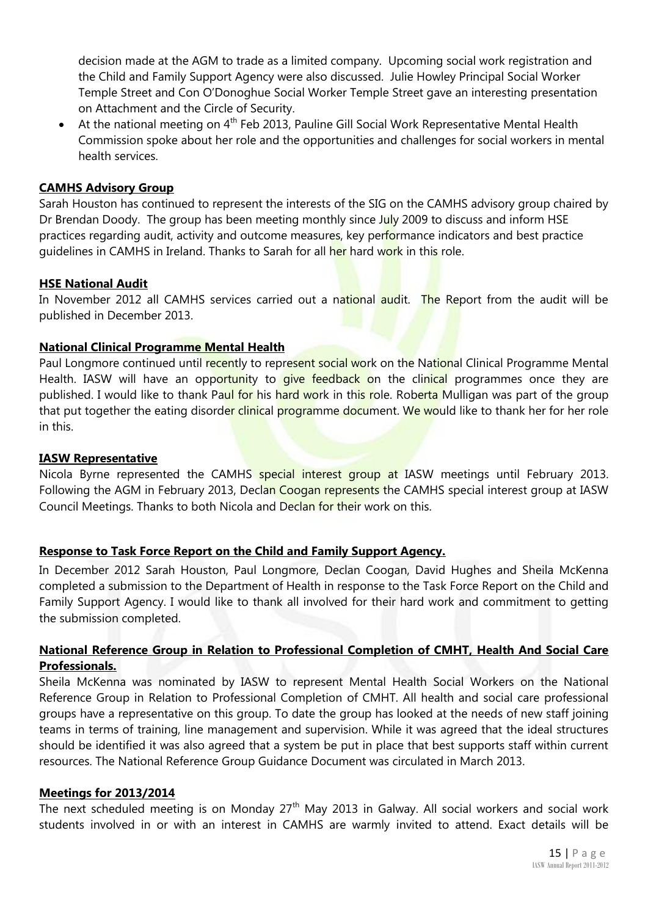decision made at the AGM to trade as a limited company. Upcoming social work registration and the Child and Family Support Agency were also discussed. Julie Howley Principal Social Worker Temple Street and Con O'Donoghue Social Worker Temple Street gave an interesting presentation on Attachment and the Circle of Security.

• At the national meeting on  $4<sup>th</sup>$  Feb 2013, Pauline Gill Social Work Representative Mental Health Commission spoke about her role and the opportunities and challenges for social workers in mental health services.

#### **CAMHS Advisory Group**

Sarah Houston has continued to represent the interests of the SIG on the CAMHS advisory group chaired by Dr Brendan Doody. The group has been meeting monthly since July 2009 to discuss and inform HSE practices regarding audit, activity and outcome measures, key performance indicators and best practice guidelines in CAMHS in Ireland. Thanks to Sarah for all her hard work in this role.

#### **HSE National Audit**

In November 2012 all CAMHS services carried out a national audit. The Report from the audit will be published in December 2013.

#### **National Clinical Programme Mental Health**

Paul Longmore continued until recently to represent social work on the National Clinical Programme Mental Health. IASW will have an opportunity to give feedback on the clinical programmes once they are published. I would like to thank Paul for his hard work in this role. Roberta Mulligan was part of the group that put together the eating disorder clinical programme document. We would like to thank her for her role in this.

#### **IASW Representative**

Nicola Byrne represented the CAMHS special interest group at IASW meetings until February 2013. Following the AGM in February 2013, Declan Coogan represents the CAMHS special interest group at IASW Council Meetings. Thanks to both Nicola and Declan for their work on this.

#### **Response to Task Force Report on the Child and Family Support Agency.**

In December 2012 Sarah Houston, Paul Longmore, Declan Coogan, David Hughes and Sheila McKenna completed a submission to the Department of Health in response to the Task Force Report on the Child and Family Support Agency. I would like to thank all involved for their hard work and commitment to getting the submission completed.

#### **National Reference Group in Relation to Professional Completion of CMHT, Health And Social Care Professionals.**

Sheila McKenna was nominated by IASW to represent Mental Health Social Workers on the National Reference Group in Relation to Professional Completion of CMHT. All health and social care professional groups have a representative on this group. To date the group has looked at the needs of new staff joining teams in terms of training, line management and supervision. While it was agreed that the ideal structures should be identified it was also agreed that a system be put in place that best supports staff within current resources. The National Reference Group Guidance Document was circulated in March 2013.

#### **Meetings for 2013/2014**

The next scheduled meeting is on Monday  $27<sup>th</sup>$  May 2013 in Galway. All social workers and social work students involved in or with an interest in CAMHS are warmly invited to attend. Exact details will be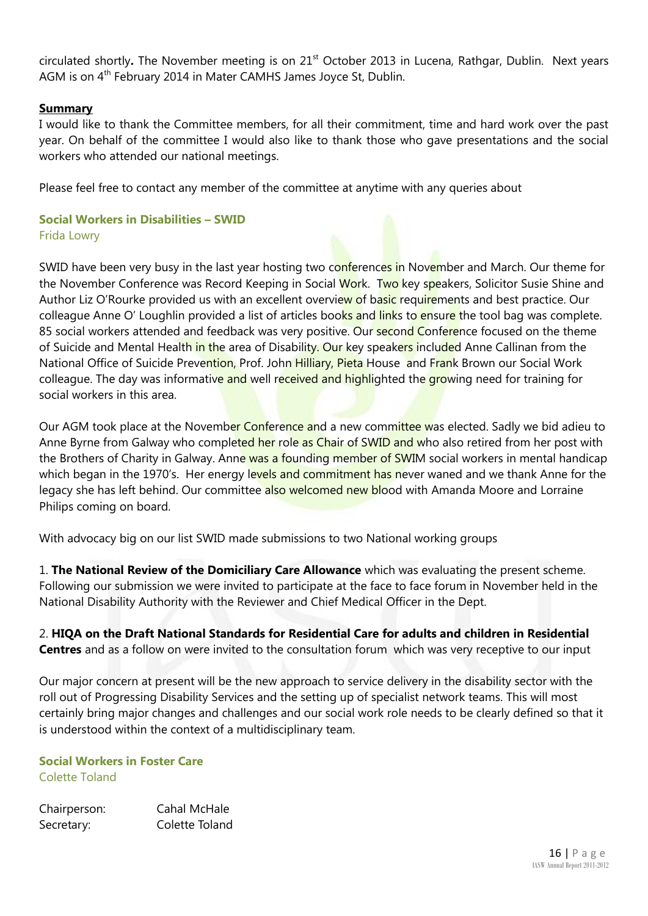circulated shortly**.** The November meeting is on 21st October 2013 in Lucena, Rathgar, Dublin. Next years AGM is on 4<sup>th</sup> February 2014 in Mater CAMHS James Joyce St, Dublin.

#### **Summary**

I would like to thank the Committee members, for all their commitment, time and hard work over the past year. On behalf of the committee I would also like to thank those who gave presentations and the social workers who attended our national meetings.

Please feel free to contact any member of the committee at anytime with any queries about

#### **Social Workers in Disabilities – SWID** Frida Lowry

SWID have been very busy in the last year hosting two conferences in November and March. Our theme for the November Conference was Record Keeping in Social Work. Two key speakers, Solicitor Susie Shine and Author Liz O'Rourke provided us with an excellent overview of basic requirements and best practice. Our colleague Anne O' Loughlin provided a list of articles books and links to ensure the tool bag was complete. 85 social workers attended and feedback was very positive. Our second Conference focused on the theme of Suicide and Mental Health in the area of Disability. Our key speakers included Anne Callinan from the National Office of Suicide Prevention, Prof. John Hilliary, Pieta House and Frank Brown our Social Work colleague. The day was informative and well received and highlighted the growing need for training for social workers in this area.

Our AGM took place at the November Conference and a new committee was elected. Sadly we bid adieu to Anne Byrne from Galway who completed her role as Chair of SWID and who also retired from her post with the Brothers of Charity in Galway. Anne was a founding member of SWIM social workers in mental handicap which began in the 1970's. Her energy levels and commitment has never waned and we thank Anne for the legacy she has left behind. Our committee also welcomed new blood with Amanda Moore and Lorraine Philips coming on board.

With advocacy big on our list SWID made submissions to two National working groups

1. **The National Review of the Domiciliary Care Allowance** which was evaluating the present scheme. Following our submission we were invited to participate at the face to face forum in November held in the National Disability Authority with the Reviewer and Chief Medical Officer in the Dept.

#### 2. **HIQA on the Draft National Standards for Residential Care for adults and children in Residential Centres** and as a follow on were invited to the consultation forum which was very receptive to our input

Our major concern at present will be the new approach to service delivery in the disability sector with the roll out of Progressing Disability Services and the setting up of specialist network teams. This will most certainly bring major changes and challenges and our social work role needs to be clearly defined so that it is understood within the context of a multidisciplinary team.

#### **Social Workers in Foster Care** Colette Toland

Chairperson: Cahal McHale Secretary: Colette Toland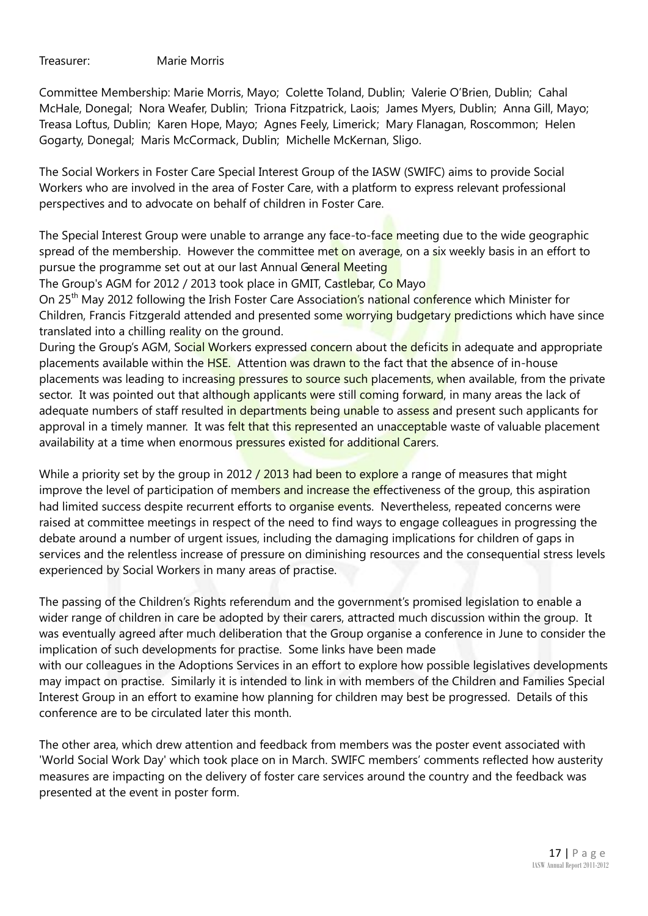Treasurer: Marie Morris

Committee Membership: Marie Morris, Mayo; Colette Toland, Dublin; Valerie O'Brien, Dublin; Cahal McHale, Donegal; Nora Weafer, Dublin; Triona Fitzpatrick, Laois; James Myers, Dublin; Anna Gill, Mayo; Treasa Loftus, Dublin; Karen Hope, Mayo; Agnes Feely, Limerick; Mary Flanagan, Roscommon; Helen Gogarty, Donegal; Maris McCormack, Dublin; Michelle McKernan, Sligo.

The Social Workers in Foster Care Special Interest Group of the IASW (SWIFC) aims to provide Social Workers who are involved in the area of Foster Care, with a platform to express relevant professional perspectives and to advocate on behalf of children in Foster Care.

The Special Interest Group were unable to arrange any face-to-face meeting due to the wide geographic spread of the membership. However the committee met on average, on a six weekly basis in an effort to pursue the programme set out at our last Annual General Meeting

The Group's AGM for 2012 / 2013 took place in GMIT, Castlebar, Co Mayo

On 25<sup>th</sup> May 2012 following the Irish Foster Care Association's national conference which Minister for Children, Francis Fitzgerald attended and presented some worrying budgetary predictions which have since translated into a chilling reality on the ground.

During the Group's AGM, Social Workers expressed concern about the deficits in adequate and appropriate placements available within the HSE. Attention was drawn to the fact that the absence of in-house placements was leading to increasing pressures to source such placements, when available, from the private sector. It was pointed out that although applicants were still coming forward, in many areas the lack of adequate numbers of staff resulted in departments being unable to assess and present such applicants for approval in a timely manner. It was felt that this represented an unacceptable waste of valuable placement availability at a time when enormous pressures existed for additional Carers.

While a priority set by the group in 2012 / 2013 had been to explore a range of measures that might improve the level of participation of members and increase the effectiveness of the group, this aspiration had limited success despite recurrent efforts to organise events. Nevertheless, repeated concerns were raised at committee meetings in respect of the need to find ways to engage colleagues in progressing the debate around a number of urgent issues, including the damaging implications for children of gaps in services and the relentless increase of pressure on diminishing resources and the consequential stress levels experienced by Social Workers in many areas of practise.

The passing of the Children's Rights referendum and the government's promised legislation to enable a wider range of children in care be adopted by their carers, attracted much discussion within the group. It was eventually agreed after much deliberation that the Group organise a conference in June to consider the implication of such developments for practise. Some links have been made with our colleagues in the Adoptions Services in an effort to explore how possible legislatives developments may impact on practise. Similarly it is intended to link in with members of the Children and Families Special Interest Group in an effort to examine how planning for children may best be progressed. Details of this conference are to be circulated later this month.

The other area, which drew attention and feedback from members was the poster event associated with 'World Social Work Day' which took place on in March. SWIFC members' comments reflected how austerity measures are impacting on the delivery of foster care services around the country and the feedback was presented at the event in poster form.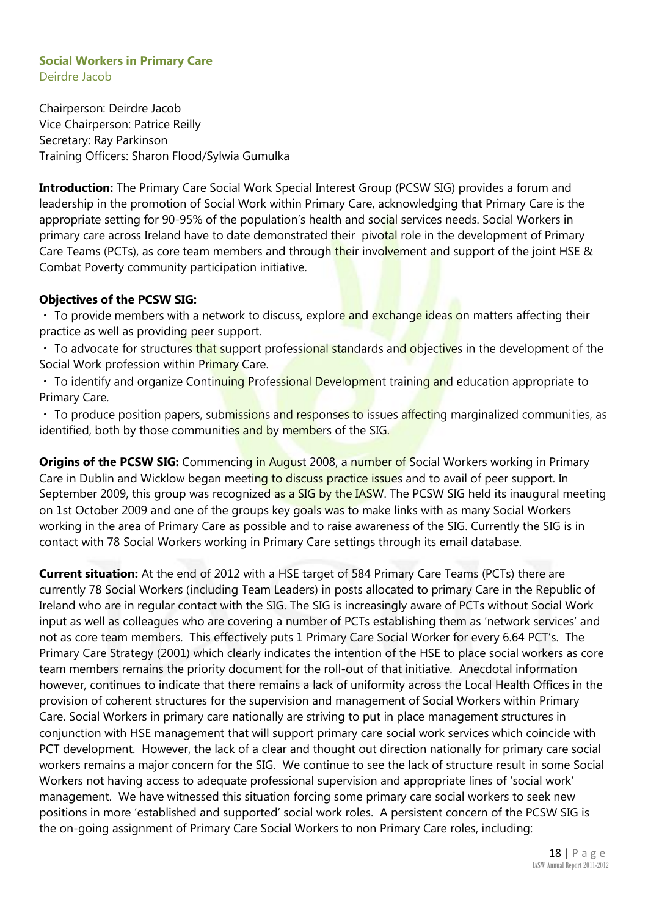#### **Social Workers in Primary Care** Deirdre Jacob

Chairperson: Deirdre Jacob Vice Chairperson: Patrice Reilly Secretary: Ray Parkinson Training Officers: Sharon Flood/Sylwia Gumulka

**Introduction:** The Primary Care Social Work Special Interest Group (PCSW SIG) provides a forum and leadership in the promotion of Social Work within Primary Care, acknowledging that Primary Care is the appropriate setting for 90-95% of the population's health and social services needs. Social Workers in primary care across Ireland have to date demonstrated their pivotal role in the development of Primary Care Teams (PCTs), as core team members and through their involvement and support of the joint HSE & Combat Poverty community participation initiative.

#### **Objectives of the PCSW SIG:**

 $\cdot$  To provide members with a network to discuss, explore and exchange ideas on matters affecting their practice as well as providing peer support.

• To advocate for structures that support professional standards and objectives in the development of the Social Work profession within Primary Care.

• To identify and organize Continuing Professional Development training and education appropriate to Primary Care.

• To produce position papers, submissions and responses to issues affecting marginalized communities, as identified, both by those communities and by members of the SIG.

**Origins of the PCSW SIG:** Commencing in August 2008, a number of Social Workers working in Primary Care in Dublin and Wicklow began meeting to discuss practice issues and to avail of peer support. In September 2009, this group was recognized as a SIG by the IASW. The PCSW SIG held its inaugural meeting on 1st October 2009 and one of the groups key goals was to make links with as many Social Workers working in the area of Primary Care as possible and to raise awareness of the SIG. Currently the SIG is in contact with 78 Social Workers working in Primary Care settings through its email database.

**Current situation:** At the end of 2012 with a HSE target of 584 Primary Care Teams (PCTs) there are currently 78 Social Workers (including Team Leaders) in posts allocated to primary Care in the Republic of Ireland who are in regular contact with the SIG. The SIG is increasingly aware of PCTs without Social Work input as well as colleagues who are covering a number of PCTs establishing them as 'network services' and not as core team members. This effectively puts 1 Primary Care Social Worker for every 6.64 PCT's. The Primary Care Strategy (2001) which clearly indicates the intention of the HSE to place social workers as core team members remains the priority document for the roll-out of that initiative. Anecdotal information however, continues to indicate that there remains a lack of uniformity across the Local Health Offices in the provision of coherent structures for the supervision and management of Social Workers within Primary Care. Social Workers in primary care nationally are striving to put in place management structures in conjunction with HSE management that will support primary care social work services which coincide with PCT development. However, the lack of a clear and thought out direction nationally for primary care social workers remains a major concern for the SIG. We continue to see the lack of structure result in some Social Workers not having access to adequate professional supervision and appropriate lines of 'social work' management. We have witnessed this situation forcing some primary care social workers to seek new positions in more 'established and supported' social work roles. A persistent concern of the PCSW SIG is the on-going assignment of Primary Care Social Workers to non Primary Care roles, including: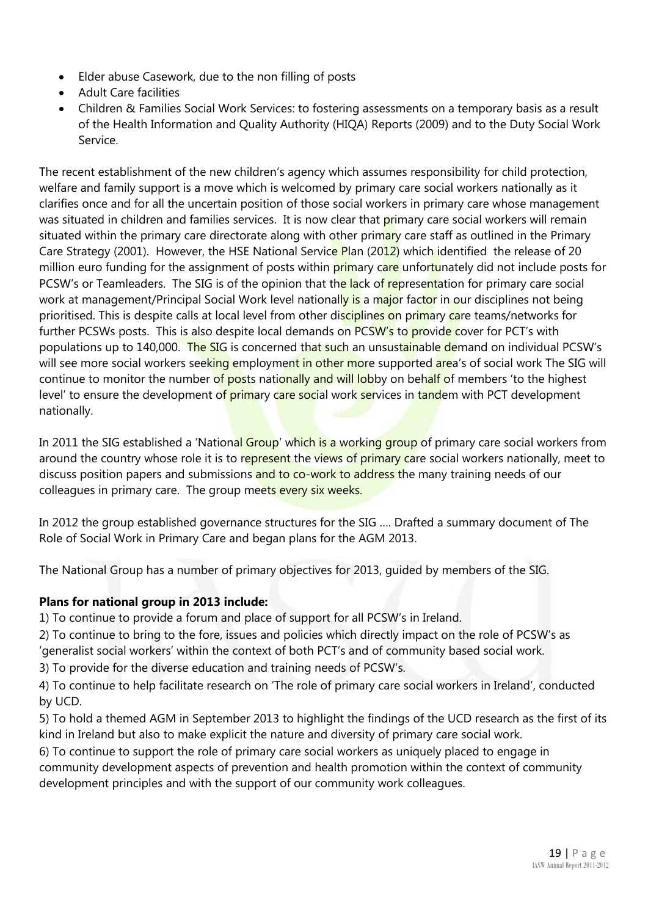- Elder abuse Casework, due to the non filling of posts
- Adult Care facilities
- Children & Families Social Work Services: to fostering assessments on a temporary basis as a result of the Health Information and Quality Authority (HIQA) Reports (2009) and to the Duty Social Work Service.

The recent establishment of the new children's agency which assumes responsibility for child protection, welfare and family support is a move which is welcomed by primary care social workers nationally as it clarifies once and for all the uncertain position of those social workers in primary care whose management was situated in children and families services. It is now clear that primary care social workers will remain situated within the primary care directorate along with other primary care staff as outlined in the Primary Care Strategy (2001). However, the HSE National Service Plan (2012) which identified the release of 20 million euro funding for the assignment of posts within primary care unfortunately did not include posts for PCSW's or Teamleaders. The SIG is of the opinion that the lack of representation for primary care social work at management/Principal Social Work level nationally is a major factor in our disciplines not being prioritised. This is despite calls at local level from other disciplines on primary care teams/networks for further PCSWs posts. This is also despite local demands on PCSW's to provide cover for PCT's with populations up to 140,000. The SIG is concerned that such an unsustainable demand on individual PCSW's will see more social workers seeking employment in other more supported area's of social work The SIG will continue to monitor the number of posts nationally and will lobby on behalf of members 'to the highest level' to ensure the development of primary care social work services in tandem with PCT development nationally.

In 2011 the SIG established a 'National Group' which is a working group of primary care social workers from around the country whose role it is to represent the views of primary care social workers nationally, meet to discuss position papers and submissions and to co-work to address the many training needs of our colleagues in primary care. The group meets every six weeks.

In 2012 the group established governance structures for the SIG …. Drafted a summary document of The Role of Social Work in Primary Care and began plans for the AGM 2013.

The National Group has a number of primary objectives for 2013, guided by members of the SIG.

#### **Plans for national group in 2013 include:**

1) To continue to provide a forum and place of support for all PCSW's in Ireland.

2) To continue to bring to the fore, issues and policies which directly impact on the role of PCSW's as 'generalist social workers' within the context of both PCT's and of community based social work.

3) To provide for the diverse education and training needs of PCSW's.

4) To continue to help facilitate research on 'The role of primary care social workers in Ireland', conducted by UCD.

5) To hold a themed AGM in September 2013 to highlight the findings of the UCD research as the first of its kind in Ireland but also to make explicit the nature and diversity of primary care social work.

6) To continue to support the role of primary care social workers as uniquely placed to engage in community development aspects of prevention and health promotion within the context of community development principles and with the support of our community work colleagues.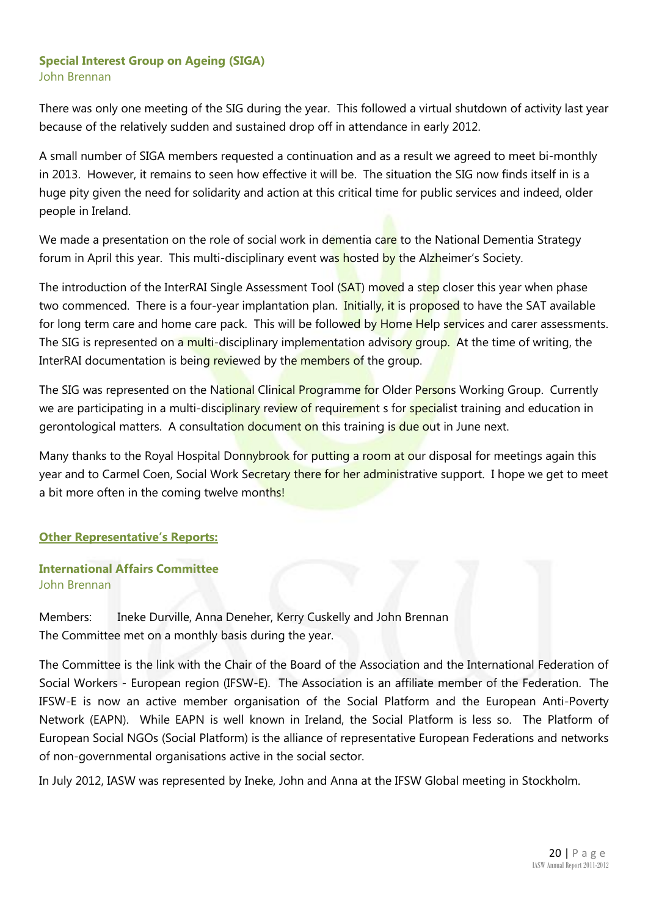#### **Special Interest Group on Ageing (SIGA)** John Brennan

There was only one meeting of the SIG during the year. This followed a virtual shutdown of activity last year because of the relatively sudden and sustained drop off in attendance in early 2012.

A small number of SIGA members requested a continuation and as a result we agreed to meet bi-monthly in 2013. However, it remains to seen how effective it will be. The situation the SIG now finds itself in is a huge pity given the need for solidarity and action at this critical time for public services and indeed, older people in Ireland.

We made a presentation on the role of social work in dementia care to the National Dementia Strategy forum in April this year. This multi-disciplinary event was hosted by the Alzheimer's Society.

The introduction of the InterRAI Single Assessment Tool (SAT) moved a step closer this year when phase two commenced. There is a four-year implantation plan. Initially, it is proposed to have the SAT available for long term care and home care pack. This will be followed by Home Help services and carer assessments. The SIG is represented on a multi-disciplinary implementation advisory group. At the time of writing, the InterRAI documentation is being reviewed by the members of the group.

The SIG was represented on the National Clinical Programme for Older Persons Working Group. Currently we are participating in a multi-disciplinary review of requirement s for specialist training and education in gerontological matters. A consultation document on this training is due out in June next.

Many thanks to the Royal Hospital Donnybrook for putting a room at our disposal for meetings again this year and to Carmel Coen, Social Work Secretary there for her administrative support. I hope we get to meet a bit more often in the coming twelve months!

#### **Other Representative's Reports:**

#### **International Affairs Committee** John Brennan

Members: Ineke Durville, Anna Deneher, Kerry Cuskelly and John Brennan The Committee met on a monthly basis during the year.

The Committee is the link with the Chair of the Board of the Association and the International Federation of Social Workers - European region (IFSW-E). The Association is an affiliate member of the Federation. The IFSW-E is now an active member organisation of the Social Platform and the European Anti-Poverty Network (EAPN). While EAPN is well known in Ireland, the Social Platform is less so. The Platform of European Social NGOs (Social Platform) is the alliance of representative [European Federations and networks](http://www.socialplatform.org/AboutUs.asp?DocID=8144)  [of non-governmental organisations](http://www.socialplatform.org/AboutUs.asp?DocID=8144) active in the social sector.

In July 2012, IASW was represented by Ineke, John and Anna at the IFSW Global meeting in Stockholm.